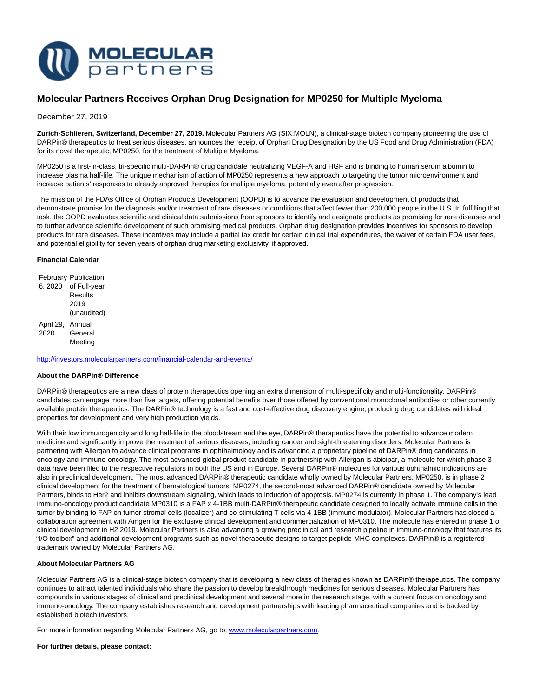

# **Molecular Partners Receives Orphan Drug Designation for MP0250 for Multiple Myeloma**

### December 27, 2019

**Zurich-Schlieren, Switzerland, December 27, 2019.** Molecular Partners AG (SIX:MOLN), a clinical-stage biotech company pioneering the use of DARPin® therapeutics to treat serious diseases, announces the receipt of Orphan Drug Designation by the US Food and Drug Administration (FDA) for its novel therapeutic, MP0250, for the treatment of Multiple Myeloma.

MP0250 is a first-in-class, tri-specific multi-DARPin® drug candidate neutralizing VEGF-A and HGF and is binding to human serum albumin to increase plasma half-life. The unique mechanism of action of MP0250 represents a new approach to targeting the tumor microenvironment and increase patients' responses to already approved therapies for multiple myeloma, potentially even after progression.

The mission of the FDA's Office of Orphan Products Development (OOPD) is to advance the evaluation and development of products that demonstrate promise for the diagnosis and/or treatment of rare diseases or conditions that affect fewer than 200,000 people in the U.S. In fulfilling that task, the OOPD evaluates scientific and clinical data submissions from sponsors to identify and designate products as promising for rare diseases and to further advance scientific development of such promising medical products. Orphan drug designation provides incentives for sponsors to develop products for rare diseases. These incentives may include a partial tax credit for certain clinical trial expenditures, the waiver of certain FDA user fees, and potential eligibility for seven years of orphan drug marketing exclusivity, if approved.

#### **Financial Calendar**

|           | <b>February Publication</b> |
|-----------|-----------------------------|
| 6, 2020   | of Full-year                |
|           | <b>Results</b>              |
|           | 2019                        |
|           | (unaudited)                 |
| April 29, | Annual                      |
| 2020      | General                     |
|           | Meeting                     |

[http://investors.molecularpartners.com/financial-calendar-and-events/](http://pr.report/HpJ5wK9-)

#### **About the DARPin® Difference**

DARPin® therapeutics are a new class of protein therapeutics opening an extra dimension of multi-specificity and multi-functionality. DARPin® candidates can engage more than five targets, offering potential benefits over those offered by conventional monoclonal antibodies or other currently available protein therapeutics. The DARPin® technology is a fast and cost-effective drug discovery engine, producing drug candidates with ideal properties for development and very high production yields.

With their low immunogenicity and long half-life in the bloodstream and the eye, DARPin® therapeutics have the potential to advance modern medicine and significantly improve the treatment of serious diseases, including cancer and sight-threatening disorders. Molecular Partners is partnering with Allergan to advance clinical programs in ophthalmology and is advancing a proprietary pipeline of DARPin® drug candidates in oncology and immuno-oncology. The most advanced global product candidate in partnership with Allergan is abicipar, a molecule for which phase 3 data have been filed to the respective regulators in both the US and in Europe. Several DARPin® molecules for various ophthalmic indications are also in preclinical development. The most advanced DARPin® therapeutic candidate wholly owned by Molecular Partners, MP0250, is in phase 2 clinical development for the treatment of hematological tumors. MP0274, the second-most advanced DARPin® candidate owned by Molecular Partners, binds to Her2 and inhibits downstream signaling, which leads to induction of apoptosis. MP0274 is currently in phase 1. The company's lead immuno-oncology product candidate MP0310 is a FAP x 4-1BB multi-DARPin® therapeutic candidate designed to locally activate immune cells in the tumor by binding to FAP on tumor stromal cells (localizer) and co-stimulating T cells via 4-1BB (immune modulator). Molecular Partners has closed a collaboration agreement with Amgen for the exclusive clinical development and commercialization of MP0310. The molecule has entered in phase 1 of clinical development in H2 2019. Molecular Partners is also advancing a growing preclinical and research pipeline in immuno-oncology that features its "I/O toolbox" and additional development programs such as novel therapeutic designs to target peptide-MHC complexes. DARPin® is a registered trademark owned by Molecular Partners AG.

#### **About Molecular Partners AG**

Molecular Partners AG is a clinical-stage biotech company that is developing a new class of therapies known as DARPin® therapeutics. The company continues to attract talented individuals who share the passion to develop breakthrough medicines for serious diseases. Molecular Partners has compounds in various stages of clinical and preclinical development and several more in the research stage, with a current focus on oncology and immuno-oncology. The company establishes research and development partnerships with leading pharmaceutical companies and is backed by established biotech investors.

For more information regarding Molecular Partners AG, go to[: www.molecularpartners.com.](https://pr.report/27VOJzle)

**For further details, please contact:**